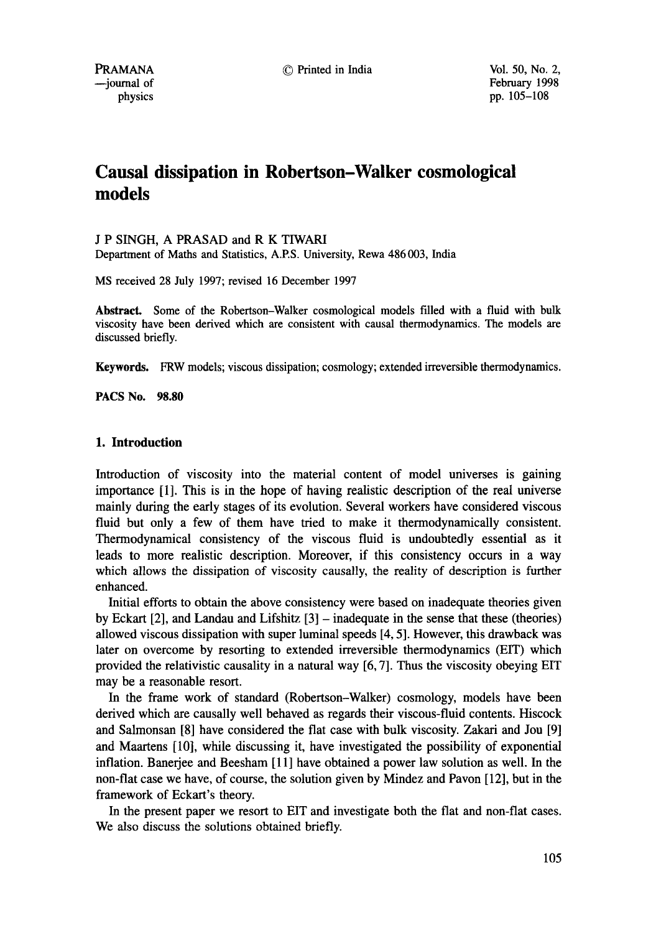© Printed in India Vol. 50, No. 2,

# **Causal dissipation in Robertson-Walker cosmological models**

J P SINGH, A PRASAD and R K TIWARI

Department of Maths and Statistics, A.P.S. University, Rewa 486 003, India

MS received 28 July 1997; revised 16 December 1997

Abstract. Some of the Robertson-Walker cosmological models filled with a fluid with bulk viscosity have been derived which are consistent with causal thermodynamics. The models are discussed briefly.

Keywords. FRW models; viscous dissipation; cosmology; extended irreversible thermodynamics.

**PACS No. 98.80** 

## I. **Introduction**

Introduction of viscosity into the material content of model universes is gaining importance [1]. This is in the hope of having realistic description of the real universe mainly during the early stages of its evolution. Several workers have considered viscous fluid but only a few of them have tried to make it thermodynamically consistent. Thermodynamical consistency of the viscous fluid is undoubtedly essential as it leads to more realistic description. Moreover, if this consistency occurs in a way which allows the dissipation of viscosity causally, the reality of description is further enhanced.

Initial efforts to obtain the above consistency were based on inadequate theories given by Eckart  $[2]$ , and Landau and Lifshitz  $[3]$  – inadequate in the sense that these (theories) allowed viscous dissipation with super luminal speeds [4, 5]. However, this drawback was later on overcome by resorting to extended irreversible thermodynamics (EIT) which provided the relativistic causality in a natural way [6, 7]. Thus the viscosity obeying EIT may be a reasonable resort.

In the frame work of standard (Robertson-Walker) cosmology, models have been derived which are causally well behaved as regards their viscous-fluid contents. Hiscock and Salmonsan [8] have considered the flat case with bulk viscosity. Zakari and Jou [9] and Maartens [10], while discussing it, have investigated the possibility of exponential inflation. Banerjee and Beesham [11] have obtained a power law solution as well. In the non-flat case we have, of course, the solution given by Mindez and Pavon [12], but in the framework of Eckart's theory.

In the present paper we resort to EIT and investigate both the flat and non-flat cases. We also discuss the solutions obtained briefly.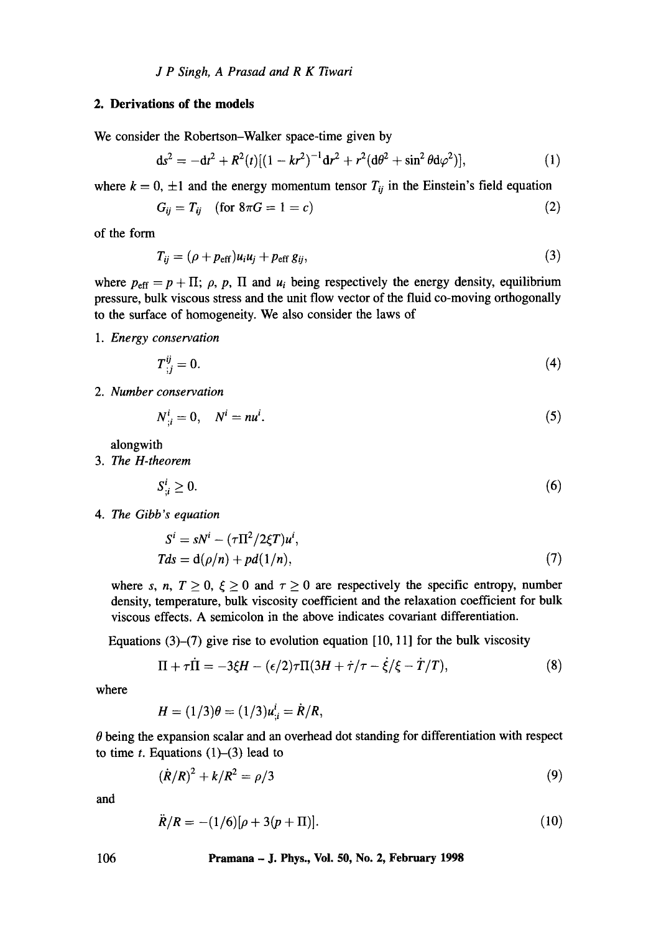# **2. Derivations of the models**

We consider the Robertson-Walker space-time given by

$$
ds^{2} = -dt^{2} + R^{2}(t)[(1 - kr^{2})^{-1}dr^{2} + r^{2}(d\theta^{2} + \sin^{2}\theta d\varphi^{2})],
$$
 (1)

where  $k = 0, \pm 1$  and the energy momentum tensor  $T_{ij}$  in the Einstein's field equation

$$
G_{ij} = T_{ij} \quad \text{(for } 8\pi G = 1 = c\text{)}\tag{2}
$$

of the form

$$
T_{ij} = (\rho + p_{\rm eff})u_i u_j + p_{\rm eff} g_{ij}, \qquad (3)
$$

where  $p_{\text{eff}} = p + \Pi$ ;  $\rho$ ,  $p$ ,  $\Pi$  and  $u_i$  being respectively the energy density, equilibrium pressure, bulk viscous stress and the unit flow vector of the fluid co-moving orthogonally to the surface of homogeneity. We also consider the laws of

*1. Energy conservation* 

$$
T^{ij}_{;j} = 0. \tag{4}
$$

*2. Number conservation* 

$$
N^i_{\;i}=0,\quad N^i=nu^i.\tag{5}
$$

alongwith

*3. The H-theorem* 

$$
S_{i}^{i} \geq 0. \tag{6}
$$

*4. The Gibb's equation* 

$$
Si = sNi - (\tau \Pi^{2}/2\xi T)ui,
$$
  
\n
$$
Tds = d(\rho/n) + pd(1/n),
$$
\n(7)

where s, n,  $T \ge 0$ ,  $\xi \ge 0$  and  $\tau \ge 0$  are respectively the specific entropy, number density, temperature, bulk viscosity coefficient and the relaxation coefficient for bulk viscous effects. A semicolon in the above indicates covariant differentiation.

Equations  $(3)-(7)$  give rise to evolution equation  $[10, 11]$  for the bulk viscosity

$$
\Pi + \tau \dot{\Pi} = -3\xi H - (\epsilon/2)\tau \Pi(3H + \dot{\tau}/\tau - \dot{\xi}/\xi - \dot{T}/T), \tag{8}
$$

where

$$
H = (1/3)\theta = (1/3)u_{i}^{i} = R/R,
$$

 $\theta$  being the expansion scalar and an overhead dot standing for differentiation with respect to time  $t$ . Equations (1)–(3) lead to

$$
(\dot{R}/R)^2 + k/R^2 = \rho/3
$$
 (9)

and

$$
\ddot{R}/R = -(1/6)[\rho + 3(p+ \Pi)]. \tag{10}
$$

106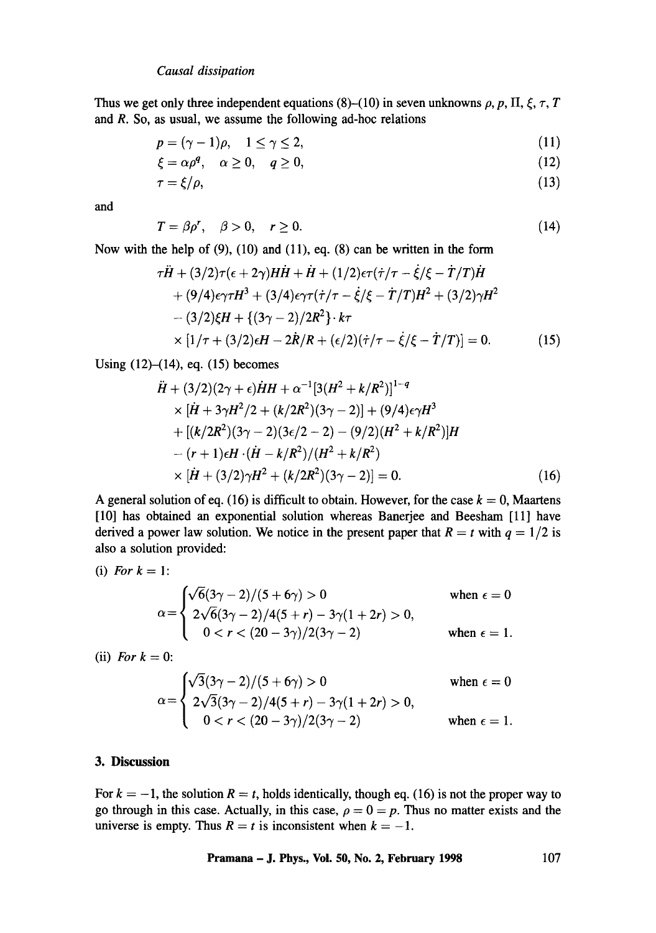Thus we get only three independent equations (8)–(10) in seven unknowns  $\rho$ ,  $p$ ,  $\Pi$ ,  $\xi$ ,  $\tau$ ,  $T$ and **R. So,** as usual, we assume the following ad-hoc relations

$$
p = (\gamma - 1)\rho, \quad 1 \le \gamma \le 2,\tag{11}
$$

$$
\xi = \alpha \rho^q, \quad \alpha \ge 0, \quad q \ge 0,\tag{12}
$$

$$
\tau = \xi/\rho,\tag{13}
$$

and

$$
T = \beta \rho', \quad \beta > 0, \quad r \ge 0. \tag{14}
$$

Now with the help of (9), (10) and (11), eq. (8) can be written in the form

$$
\tau \ddot{H} + (3/2)\tau(\epsilon + 2\gamma)H\dot{H} + \dot{H} + (1/2)\epsilon\tau(\dot{\tau}/\tau - \dot{\xi}/\xi - \dot{T}/T)\dot{H}
$$
  
+ (9/4)\epsilon\gamma\tau H^3 + (3/4)\epsilon\gamma\tau(\dot{\tau}/\tau - \dot{\xi}/\xi - \dot{T}/T)H^2 + (3/2)\gamma H^2  
-(3/2)\xi H + {(3\gamma - 2)/2R^2} \cdot k\tau  
\times [1/\tau + (3/2)\epsilon H - 2\dot{R}/R + (\epsilon/2)(\dot{\tau}/\tau - \dot{\xi}/\xi - \dot{T}/T)] = 0. (15)

Using (12)-(14), eq. (15) becomes

$$
\ddot{H} + (3/2)(2\gamma + \epsilon)\dot{H}H + \alpha^{-1}[3(H^2 + k/R^2)]^{1-q}
$$
\n
$$
\times [\dot{H} + 3\gamma H^2/2 + (k/2R^2)(3\gamma - 2)] + (9/4)\epsilon \gamma H^3
$$
\n
$$
+ [(k/2R^2)(3\gamma - 2)(3\epsilon/2 - 2) - (9/2)(H^2 + k/R^2)]H
$$
\n
$$
- (r + 1)\epsilon H \cdot (\dot{H} - k/R^2)/(H^2 + k/R^2)
$$
\n
$$
\times [\dot{H} + (3/2)\gamma H^2 + (k/2R^2)(3\gamma - 2)] = 0.
$$
\n(16)

A general solution of eq. (16) is difficult to obtain. However, for the case  $k = 0$ , Maartens [10] has obtained an exponential solution whereas Banerjee and Beesham [11] have derived a power law solution. We notice in the present paper that  $R = t$  with  $q = 1/2$  is also a solution provided:

(i) For 
$$
k = 1
$$
:

$$
\alpha = \begin{cases}\n\sqrt{6}(3\gamma - 2)/(5 + 6\gamma) > 0 & \text{when } \epsilon = 0 \\
2\sqrt{6}(3\gamma - 2)/4(5 + r) - 3\gamma(1 + 2r) > 0, \\
0 < r < (20 - 3\gamma)/2(3\gamma - 2) & \text{when } \epsilon = 1.\n\end{cases}
$$

(ii) *For*  $k = 0$ :

$$
\alpha = \begin{cases}\n\sqrt{3}(3\gamma - 2)/(5 + 6\gamma) > 0 & \text{when } \epsilon = 0 \\
2\sqrt{3}(3\gamma - 2)/4(5 + r) - 3\gamma(1 + 2r) > 0, \\
0 < r < (20 - 3\gamma)/2(3\gamma - 2) & \text{when } \epsilon = 1.\n\end{cases}
$$

## **3. Discussion**

For  $k = -1$ , the solution  $R = t$ , holds identically, though eq. (16) is not the proper way to go through in this case. Actually, in this case,  $\rho = 0 = p$ . Thus no matter exists and the universe is empty. Thus  $R = t$  is inconsistent when  $k = -1$ .